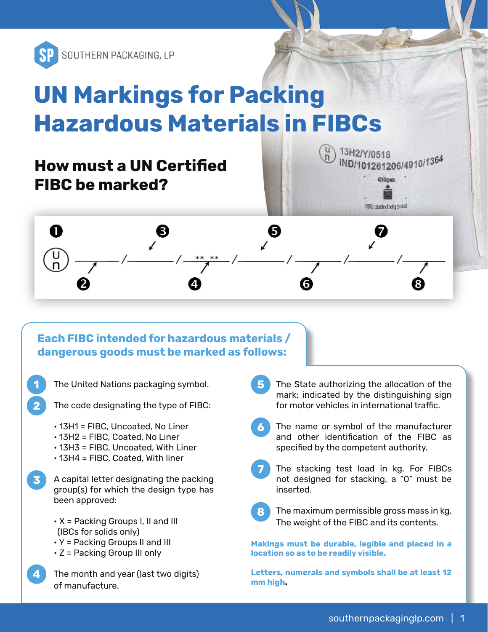

# **UN Markings for Packing Hazardous Materials in FIBCs**

### **How must a UN Certified FIBC be marked?**





#### **Each FIBC intended for hazardous materials / dangerous goods must be marked as follows:**

- The United Nations packaging symbol.
- The code designating the type of FIBC:
	- 13H1 = FIBC, Uncoated, No Liner
	- 13H2 = FIBC, Coated, No Liner

 $\overline{2}$ 

- 13H3 = FIBC, Uncoated, With Liner
- 13H4 = FIBC, Coated, With liner
- $\overline{\mathbf{3}}$ A capital letter designating the packing group(s) for which the design type has been approved:
	- $\cdot$  X = Packing Groups I, II and III (IBCs for solids only)
	- Y = Packing Groups II and III
	- Z = Packing Group III only
	- The month and year (last two digits) of manufacture.
- 5 The State authorizing the allocation of the mark; indicated by the distinguishing sign for motor vehicles in international traffic.
- The name or symbol of the manufacturer and other identification of the FIBC as specified by the competent authority.
- The stacking test load in kg. For FIBCs not designed for stacking, a "0" must be inserted.



The maximum permissible gross mass in kg. The weight of the FIBC and its contents.

**Makings must be durable, legible and placed in a location so as to be readily visible.**

**Letters, numerals and symbols shall be at least 12 mm high.**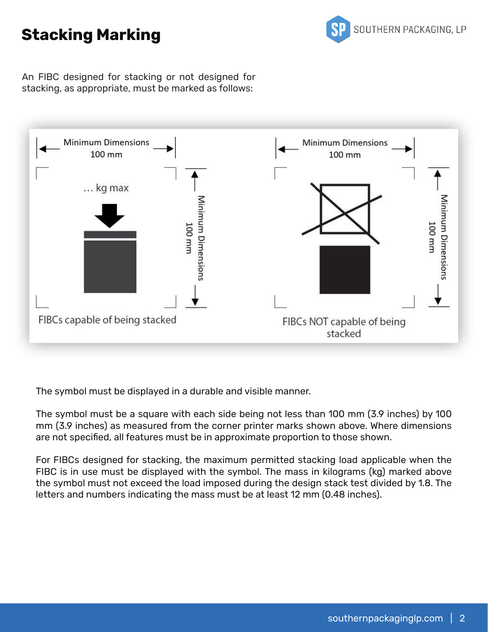### **Stacking Marking**



An FIBC designed for stacking or not designed for stacking, as appropriate, must be marked as follows:



The symbol must be displayed in a durable and visible manner.

The symbol must be a square with each side being not less than 100 mm (3.9 inches) by 100 mm (3.9 inches) as measured from the corner printer marks shown above. Where dimensions are not specified, all features must be in approximate proportion to those shown.

For FIBCs designed for stacking, the maximum permitted stacking load applicable when the FIBC is in use must be displayed with the symbol. The mass in kilograms (kg) marked above the symbol must not exceed the load imposed during the design stack test divided by 1.8. The letters and numbers indicating the mass must be at least 12 mm (0.48 inches).